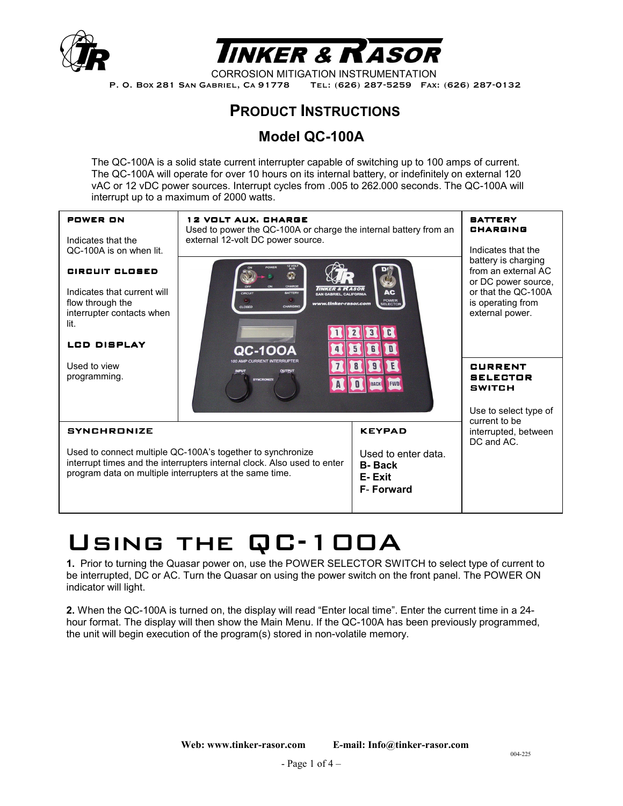



CORROSION MITIGATION INSTRUMENTATION P. O. BOX 281 SAN GABRIEL, CA 91778 TEL: (626) 287-5259 FAX: (626) 287-0132

# **PRODUCT INSTRUCTIONS**

## **Model QC-100A**

The QC-100A is a solid state current interrupter capable of switching up to 100 amps of current. The QC-100A will operate for over 10 hours on its internal battery, or indefinitely on external 120 vAC or 12 vDC power sources. Interrupt cycles from .005 to 262.000 seconds. The QC-100A will interrupt up to a maximum of 2000 watts.



# Using the QC-100A

**1.** Prior to turning the Quasar power on, use the POWER SELECTOR SWITCH to select type of current to be interrupted, DC or AC. Turn the Quasar on using the power switch on the front panel. The POWER ON indicator will light.

**2.** When the QC-100A is turned on, the display will read "Enter local time". Enter the current time in a 24 hour format. The display will then show the Main Menu. If the QC-100A has been previously programmed, the unit will begin execution of the program(s) stored in non-volatile memory.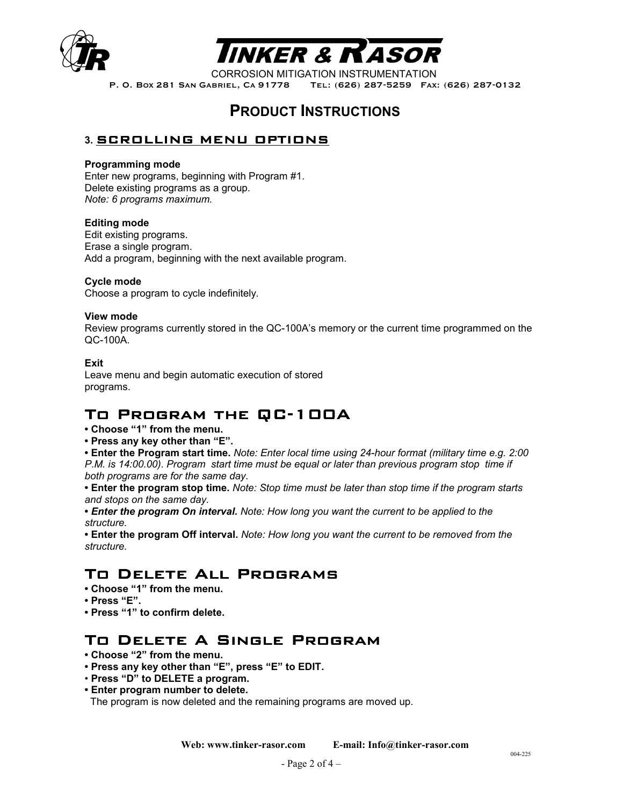



CORROSION MITIGATION INSTRUMENTATION<br>P. O. Box 281 San Gabriel, Ca 91778 Tel: (626) 287-5259 Fax TEL: (626) 287-5259 FAX: (626) 287-0132

# **PRODUCT INSTRUCTIONS**

## **3.** SCROLLING MENU OPTIONS

## **Programming mode**

Enter new programs, beginning with Program #1. Delete existing programs as a group. *Note: 6 programs maximum.*

#### **Editing mode**

Edit existing programs. Erase a single program. Add a program, beginning with the next available program.

### **Cycle mode**

Choose a program to cycle indefinitely.

#### **View mode**

Review programs currently stored in the QC-100A's memory or the current time programmed on the QC-100A.

### **Exit**

Leave menu and begin automatic execution of stored programs.

# TO PROGRAM THE QC-100A

- **Choose "1" from the menu.**
- **Press any key other than "E".**

**• Enter the Program start time.** *Note: Enter local time using 24-hour format (military time e.g. 2:00 P.M. is 14:00.00). Program start time must be equal or later than previous program stop time if both programs are for the same day.* 

- **Enter the program stop time.** *Note: Stop time must be later than stop time if the program starts and stops on the same day.*
- *Enter the program On interval. Note: How long you want the current to be applied to the structure.*

**• Enter the program Off interval.** *Note: How long you want the current to be removed from the structure.* 

## TO DELETE ALL PROGRAMS

- **Choose "1" from the menu.**
- **Press "E".**
- **Press "1" to confirm delete.**

## TO DELETE A SINGLE PROGRAM

- **Choose "2" from the menu.**
- **Press any key other than "E", press "E" to EDIT.**
- **Press "D" to DELETE a program.**
- **Enter program number to delete.**

The program is now deleted and the remaining programs are moved up.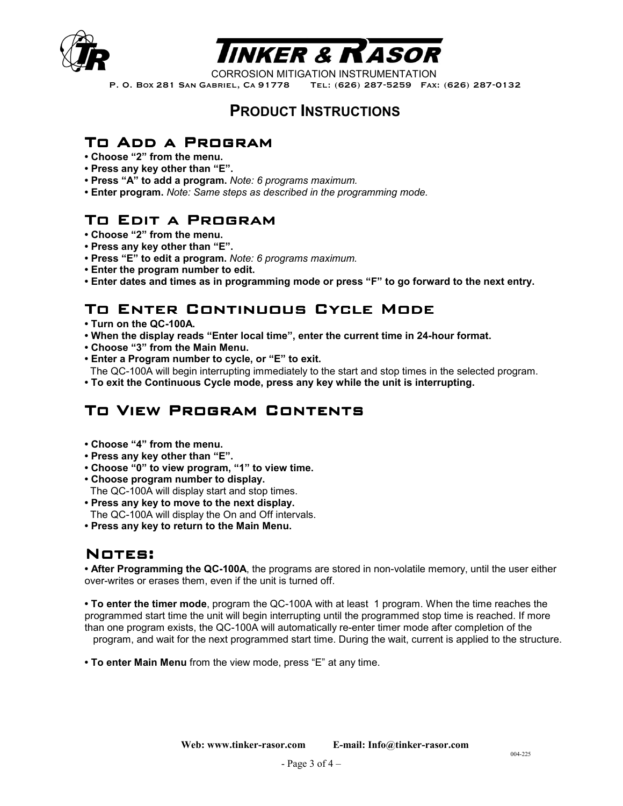



CORROSION MITIGATION INSTRUMENTATION

P. O. BOX 281 SAN GABRIEL, CA 91778 TEL: (626) 287-5259 FAX: (626) 287-0132

## **PRODUCT INSTRUCTIONS**

## TO ADD A PROGRAM

- **Choose "2" from the menu.**
- **Press any key other than "E".**
- **Press "A" to add a program.** *Note: 6 programs maximum.*
- **Enter program.** *Note: Same steps as described in the programming mode.*

# TO EDIT A PROGRAM

- **Choose "2" from the menu.**
- **Press any key other than "E".**
- **Press "E" to edit a program.** *Note: 6 programs maximum.*
- **Enter the program number to edit.**
- **Enter dates and times as in programming mode or press "F" to go forward to the next entry.**

# TO ENTER CONTINUOUS CYCLE MODE

- **Turn on the QC-100A.**
- **When the display reads "Enter local time", enter the current time in 24-hour format.**
- **Choose "3" from the Main Menu.**
- **Enter a Program number to cycle, or "E" to exit.**
- The QC-100A will begin interrupting immediately to the start and stop times in the selected program.
- **To exit the Continuous Cycle mode, press any key while the unit is interrupting.**

## TO VIEW PROGRAM CONTENTS

- **Choose "4" from the menu.**
- **Press any key other than "E".**
- **Choose "0" to view program, "1" to view time.**
- **Choose program number to display.**
- The QC-100A will display start and stop times.
- **Press any key to move to the next display.** The QC-100A will display the On and Off intervals.
- **Press any key to return to the Main Menu.**

## NOTES:

**• After Programming the QC-100A**, the programs are stored in non-volatile memory, until the user either over-writes or erases them, even if the unit is turned off.

**• To enter the timer mode**, program the QC-100A with at least 1 program. When the time reaches the programmed start time the unit will begin interrupting until the programmed stop time is reached. If more than one program exists, the QC-100A will automatically re-enter timer mode after completion of the program, and wait for the next programmed start time. During the wait, current is applied to the structure.

**• To enter Main Menu** from the view mode, press "E" at any time.